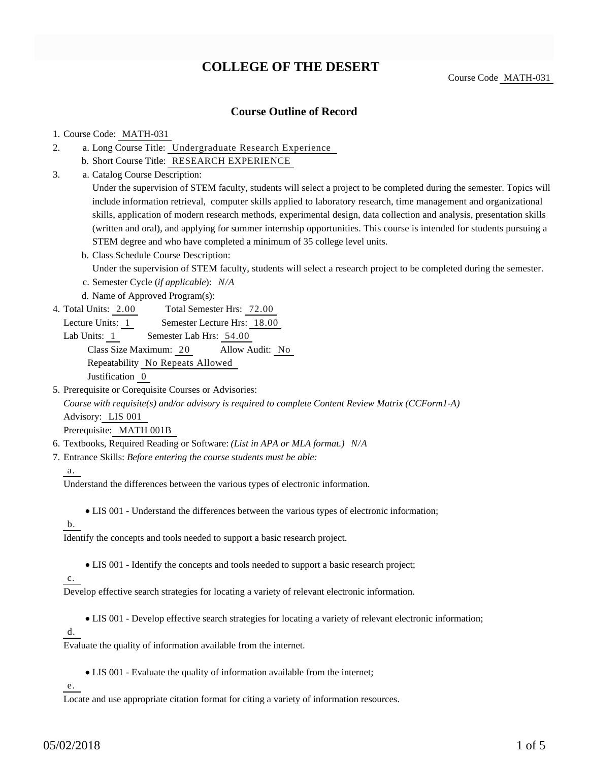# **COLLEGE OF THE DESERT**

Course Code MATH-031

## **Course Outline of Record**

### 1. Course Code: MATH-031

- a. Long Course Title: Undergraduate Research Experience 2.
	- b. Short Course Title: RESEARCH EXPERIENCE
- Catalog Course Description: a. 3.

Under the supervision of STEM faculty, students will select a project to be completed during the semester. Topics will include information retrieval, computer skills applied to laboratory research, time management and organizational skills, application of modern research methods, experimental design, data collection and analysis, presentation skills (written and oral), and applying for summer internship opportunities. This course is intended for students pursuing a STEM degree and who have completed a minimum of 35 college level units.

- b. Class Schedule Course Description: Under the supervision of STEM faculty, students will select a research project to be completed during the semester.
- c. Semester Cycle (*if applicable*): *N/A*
- d. Name of Approved Program(s):
- Total Semester Hrs: 72.00 4. Total Units: 2.00
	- Lecture Units: 1 Semester Lecture Hrs: 18.00

Lab Units: 1 Semester Lab Hrs: 54.00 Class Size Maximum: 20 Allow Audit: No Repeatability No Repeats Allowed Justification 0

5. Prerequisite or Corequisite Courses or Advisories:

*Course with requisite(s) and/or advisory is required to complete Content Review Matrix (CCForm1-A)* Advisory: LIS 001

Prerequisite: MATH 001B

- 6. Textbooks, Required Reading or Software: *(List in APA or MLA format.) N/A*
- Entrance Skills: *Before entering the course students must be able:* 7.

### a.

Understand the differences between the various types of electronic information.

LIS 001 - Understand the differences between the various types of electronic information;

b.

Identify the concepts and tools needed to support a basic research project.

LIS 001 - Identify the concepts and tools needed to support a basic research project;

### c.

Develop effective search strategies for locating a variety of relevant electronic information.

LIS 001 - Develop effective search strategies for locating a variety of relevant electronic information;

d.

Evaluate the quality of information available from the internet.

LIS 001 - Evaluate the quality of information available from the internet;

e.

Locate and use appropriate citation format for citing a variety of information resources.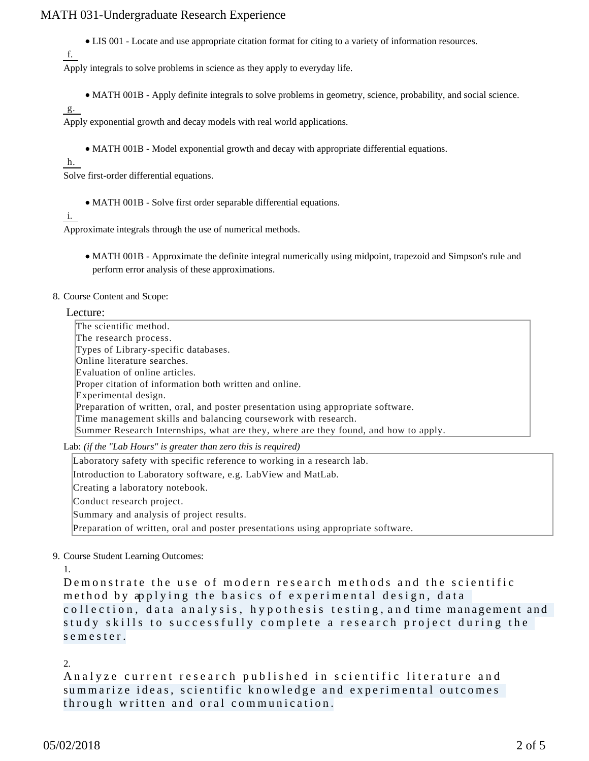## MATH 031-Undergraduate Research Experience

LIS 001 - Locate and use appropriate citation format for citing to a variety of information resources.

```
f.
```
Apply integrals to solve problems in science as they apply to everyday life.

MATH 001B - Apply definite integrals to solve problems in geometry, science, probability, and social science.

g.

Apply exponential growth and decay models with real world applications.

• MATH 001B - Model exponential growth and decay with appropriate differential equations.

h.

Solve first-order differential equations.

MATH 001B - Solve first order separable differential equations.

i.

Approximate integrals through the use of numerical methods.

MATH 001B - Approximate the definite integral numerically using midpoint, trapezoid and Simpson's rule and perform error analysis of these approximations.

#### 8. Course Content and Scope:

Lecture:

The scientific method. The research process. Types of Library-specific databases. Online literature searches. Evaluation of online articles. Proper citation of information both written and online. Experimental design. Preparation of written, oral, and poster presentation using appropriate software. Time management skills and balancing coursework with research. Summer Research Internships, what are they, where are they found, and how to apply.

Lab: *(if the "Lab Hours" is greater than zero this is required)*

Laboratory safety with specific reference to working in a research lab. Introduction to Laboratory software, e.g. LabView and MatLab. Creating a laboratory notebook. Conduct research project. Summary and analysis of project results. Preparation of written, oral and poster presentations using appropriate software.

9. Course Student Learning Outcomes:

1.

Demonstrate the use of modern research methods and the scientific method by applying the basics of experimental design, data collection, data analysis, hypothesis testing, and time management and study skills to successfully complete a research project during the semester.

2.

Analyze current research published in scientific literature and summarize ideas, scientific knowledge and experimental outcomes through written and oral communication.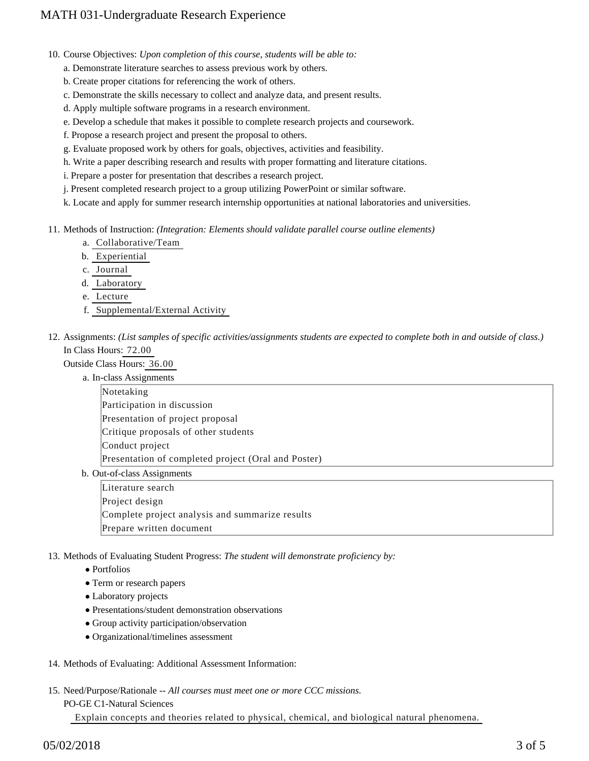- 10. Course Objectives: Upon completion of this course, students will be able to:
	- a. Demonstrate literature searches to assess previous work by others.
	- b. Create proper citations for referencing the work of others.
	- c. Demonstrate the skills necessary to collect and analyze data, and present results.
	- d. Apply multiple software programs in a research environment.
	- e. Develop a schedule that makes it possible to complete research projects and coursework.
	- f. Propose a research project and present the proposal to others.
	- g. Evaluate proposed work by others for goals, objectives, activities and feasibility.
	- h. Write a paper describing research and results with proper formatting and literature citations.
	- i. Prepare a poster for presentation that describes a research project.
	- j. Present completed research project to a group utilizing PowerPoint or similar software.
	- k. Locate and apply for summer research internship opportunities at national laboratories and universities.
- 11. Methods of Instruction: *(Integration: Elements should validate parallel course outline elements)* 
	- a. Collaborative/Team
	- b. Experiential
	- c. Journal
	- d. Laboratory
	- e. Lecture
	- f. Supplemental/External Activity
- 12. Assignments: (List samples of specific activities/assignments students are expected to complete both in and outside of class.) In Class Hours: 72.00

Outside Class Hours: 36.00

|                             | a. In-class Assignments                             |  |  |
|-----------------------------|-----------------------------------------------------|--|--|
|                             | Notetaking                                          |  |  |
|                             | Participation in discussion                         |  |  |
|                             | Presentation of project proposal                    |  |  |
|                             | Critique proposals of other students                |  |  |
|                             | Conduct project                                     |  |  |
|                             | Presentation of completed project (Oral and Poster) |  |  |
| b. Out-of-class Assignments |                                                     |  |  |
|                             | I itaratura saarch                                  |  |  |

Literature search Project design Complete project analysis and summarize results Prepare written document

13. Methods of Evaluating Student Progress: The student will demonstrate proficiency by:

- Portfolios
- Term or research papers
- Laboratory projects
- Presentations/student demonstration observations
- Group activity participation/observation
- Organizational/timelines assessment
- 14. Methods of Evaluating: Additional Assessment Information:
- 15. Need/Purpose/Rationale -- All courses must meet one or more CCC missions.

PO-GE C1-Natural Sciences

Explain concepts and theories related to physical, chemical, and biological natural phenomena.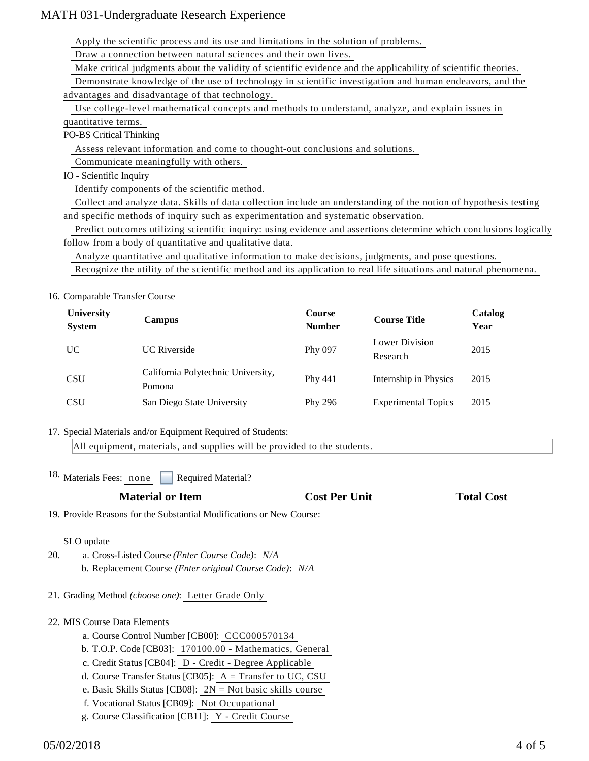## MATH 031-Undergraduate Research Experience

Apply the scientific process and its use and limitations in the solution of problems.

Draw a connection between natural sciences and their own lives.

Make critical judgments about the validity of scientific evidence and the applicability of scientific theories.

Demonstrate knowledge of the use of technology in scientific investigation and human endeavors, and the

advantages and disadvantage of that technology.

 Use college-level mathematical concepts and methods to understand, analyze, and explain issues in quantitative terms.

PO-BS Critical Thinking

Assess relevant information and come to thought-out conclusions and solutions.

Communicate meaningfully with others.

IO - Scientific Inquiry

Identify components of the scientific method.

 Collect and analyze data. Skills of data collection include an understanding of the notion of hypothesis testing and specific methods of inquiry such as experimentation and systematic observation.

 Predict outcomes utilizing scientific inquiry: using evidence and assertions determine which conclusions logically follow from a body of quantitative and qualitative data.

Analyze quantitative and qualitative information to make decisions, judgments, and pose questions.

Recognize the utility of the scientific method and its application to real life situations and natural phenomena.

16. Comparable Transfer Course

| <b>University</b><br><b>System</b> | <b>Campus</b>                                | <b>Course</b><br><b>Number</b> | <b>Course Title</b>        | Catalog<br>Year |
|------------------------------------|----------------------------------------------|--------------------------------|----------------------------|-----------------|
| UC                                 | <b>UC</b> Riverside                          | Phy 097                        | Lower Division<br>Research | 2015            |
| <b>CSU</b>                         | California Polytechnic University,<br>Pomona | Phy 441                        | Internship in Physics      | 2015            |
| <b>CSU</b>                         | San Diego State University                   | Phy 296                        | <b>Experimental Topics</b> | 2015            |

17. Special Materials and/or Equipment Required of Students:

All equipment, materials, and supplies will be provided to the students.

18. Materials Fees: none Required Material?

| <b>Cost I</b> |
|---------------|
|               |

Per Unit **Total Cost** 

19. Provide Reasons for the Substantial Modifications or New Course:

SLO update

- a. Cross-Listed Course *(Enter Course Code)*: *N/A* b. Replacement Course *(Enter original Course Code)*: *N/A* 20.
- 21. Grading Method *(choose one)*: Letter Grade Only

## 22. MIS Course Data Elements

- a. Course Control Number [CB00]: CCC000570134
- b. T.O.P. Code [CB03]: 170100.00 Mathematics, General
- c. Credit Status [CB04]: D Credit Degree Applicable
- d. Course Transfer Status [CB05]: A = Transfer to UC, CSU
- e. Basic Skills Status [CB08]: 2N = Not basic skills course
- f. Vocational Status [CB09]: Not Occupational
- g. Course Classification [CB11]: Y Credit Course